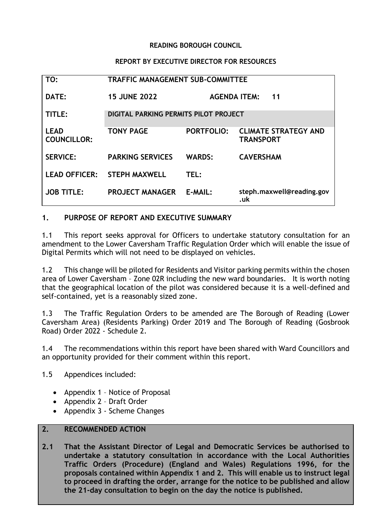#### **READING BOROUGH COUNCIL**

#### **REPORT BY EXECUTIVE DIRECTOR FOR RESOURCES**

| TO:                               | <b>TRAFFIC MANAGEMENT SUB-COMMITTEE</b>      |                     |                                                 |
|-----------------------------------|----------------------------------------------|---------------------|-------------------------------------------------|
| DATE:                             | <b>15 JUNE 2022</b>                          | <b>AGENDA ITEM:</b> | 11                                              |
| TITLE:                            | <b>DIGITAL PARKING PERMITS PILOT PROJECT</b> |                     |                                                 |
| <b>LEAD</b><br><b>COUNCILLOR:</b> | <b>TONY PAGE</b>                             | <b>PORTFOLIO:</b>   | <b>CLIMATE STRATEGY AND</b><br><b>TRANSPORT</b> |
| <b>SERVICE:</b>                   | <b>PARKING SERVICES</b>                      | <b>WARDS:</b>       | <b>CAVERSHAM</b>                                |
| <b>LEAD OFFICER:</b>              | <b>STEPH MAXWELL</b>                         | TEL:                |                                                 |
| <b>JOB TITLE:</b>                 | <b>PROJECT MANAGER</b>                       | E-MAIL:             | steph.maxwell@reading.gov<br>.uk                |

#### **1. PURPOSE OF REPORT AND EXECUTIVE SUMMARY**

1.1 This report seeks approval for Officers to undertake statutory consultation for an amendment to the Lower Caversham Traffic Regulation Order which will enable the issue of Digital Permits which will not need to be displayed on vehicles.

1.2 This change will be piloted for Residents and Visitor parking permits within the chosen area of Lower Caversham – Zone 02R including the new ward boundaries. It is worth noting that the geographical location of the pilot was considered because it is a well-defined and self-contained, yet is a reasonably sized zone.

1.3 The Traffic Regulation Orders to be amended are The Borough of Reading (Lower Caversham Area) (Residents Parking) Order 2019 and The Borough of Reading (Gosbrook Road) Order 2022 - Schedule 2.

1.4 The recommendations within this report have been shared with Ward Councillors and an opportunity provided for their comment within this report.

1.5 Appendices included:

- Appendix 1 Notice of Proposal
- Appendix 2 Draft Order
- Appendix 3 Scheme Changes

#### **2. RECOMMENDED ACTION**

**2.1 That the Assistant Director of Legal and Democratic Services be authorised to undertake a statutory consultation in accordance with the Local Authorities Traffic Orders (Procedure) (England and Wales) Regulations 1996, for the proposals contained within Appendix 1 and 2. This will enable us to instruct legal to proceed in drafting the order, arrange for the notice to be published and allow the 21-day consultation to begin on the day the notice is published.**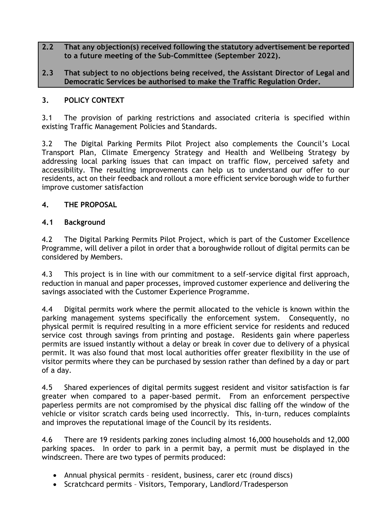## **2.2 That any objection(s) received following the statutory advertisement be reported to a future meeting of the Sub-Committee (September 2022).**

**2.3 That subject to no objections being received, the Assistant Director of Legal and Democratic Services be authorised to make the Traffic Regulation Order.**

# **3. POLICY CONTEXT**

3.1 The provision of parking restrictions and associated criteria is specified within existing Traffic Management Policies and Standards.

3.2 The Digital Parking Permits Pilot Project also complements the Council's Local Transport Plan, Climate Emergency Strategy and Health and Wellbeing Strategy by addressing local parking issues that can impact on traffic flow, perceived safety and accessibility. The resulting improvements can help us to understand our offer to our residents, act on their feedback and rollout a more efficient service borough wide to further improve customer satisfaction

## **4. THE PROPOSAL**

# **4.1 Background**

4.2 The Digital Parking Permits Pilot Project, which is part of the Customer Excellence Programme, will deliver a pilot in order that a boroughwide rollout of digital permits can be considered by Members.

4.3 This project is in line with our commitment to a self-service digital first approach, reduction in manual and paper processes, improved customer experience and delivering the savings associated with the Customer Experience Programme.

4.4 Digital permits work where the permit allocated to the vehicle is known within the parking management systems specifically the enforcement system. Consequently, no physical permit is required resulting in a more efficient service for residents and reduced service cost through savings from printing and postage. Residents gain where paperless permits are issued instantly without a delay or break in cover due to delivery of a physical permit. It was also found that most local authorities offer greater flexibility in the use of visitor permits where they can be purchased by session rather than defined by a day or part of a day.

4.5 Shared experiences of digital permits suggest resident and visitor satisfaction is far greater when compared to a paper-based permit. From an enforcement perspective paperless permits are not compromised by the physical disc falling off the window of the vehicle or visitor scratch cards being used incorrectly. This, in-turn, reduces complaints and improves the reputational image of the Council by its residents.

4.6 There are 19 residents parking zones including almost 16,000 households and 12,000 parking spaces. In order to park in a permit bay, a permit must be displayed in the windscreen. There are two types of permits produced:

- Annual physical permits resident, business, carer etc (round discs)
- Scratchcard permits Visitors, Temporary, Landlord/Tradesperson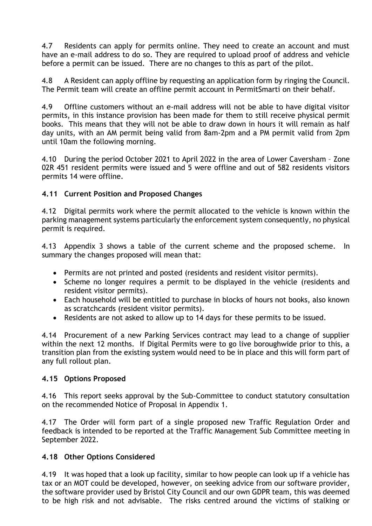4.7 Residents can apply for permits online. They need to create an account and must have an e-mail address to do so. They are required to upload proof of address and vehicle before a permit can be issued. There are no changes to this as part of the pilot.

4.8 A Resident can apply offline by requesting an application form by ringing the Council. The Permit team will create an offline permit account in PermitSmarti on their behalf.

4.9 Offline customers without an e-mail address will not be able to have digital visitor permits, in this instance provision has been made for them to still receive physical permit books. This means that they will not be able to draw down in hours it will remain as half day units, with an AM permit being valid from 8am-2pm and a PM permit valid from 2pm until 10am the following morning.

4.10 During the period October 2021 to April 2022 in the area of Lower Caversham – Zone 02R 451 resident permits were issued and 5 were offline and out of 582 residents visitors permits 14 were offline.

## **4.11 Current Position and Proposed Changes**

4.12 Digital permits work where the permit allocated to the vehicle is known within the parking management systems particularly the enforcement system consequently, no physical permit is required.

4.13 Appendix 3 shows a table of the current scheme and the proposed scheme. In summary the changes proposed will mean that:

- Permits are not printed and posted (residents and resident visitor permits).
- Scheme no longer requires a permit to be displayed in the vehicle (residents and resident visitor permits).
- Each household will be entitled to purchase in blocks of hours not books, also known as scratchcards (resident visitor permits).
- Residents are not asked to allow up to 14 days for these permits to be issued.

4.14 Procurement of a new Parking Services contract may lead to a change of supplier within the next 12 months. If Digital Permits were to go live boroughwide prior to this, a transition plan from the existing system would need to be in place and this will form part of any full rollout plan.

## **4.15 Options Proposed**

4.16 This report seeks approval by the Sub-Committee to conduct statutory consultation on the recommended Notice of Proposal in Appendix 1.

4.17 The Order will form part of a single proposed new Traffic Regulation Order and feedback is intended to be reported at the Traffic Management Sub Committee meeting in September 2022.

## **4.18 Other Options Considered**

4.19 It was hoped that a look up facility, similar to how people can look up if a vehicle has tax or an MOT could be developed, however, on seeking advice from our software provider, the software provider used by Bristol City Council and our own GDPR team, this was deemed to be high risk and not advisable. The risks centred around the victims of stalking or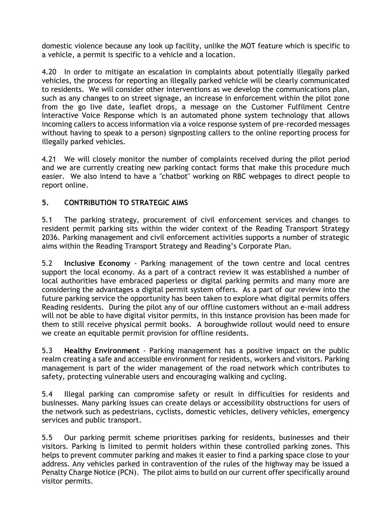domestic violence because any look up facility, unlike the MOT feature which is specific to a vehicle, a permit is specific to a vehicle and a location.

4.20 In order to mitigate an escalation in complaints about potentially illegally parked vehicles, the process for reporting an illegally parked vehicle will be clearly communicated to residents. We will consider other interventions as we develop the communications plan, such as any changes to on street signage, an increase in enforcement within the pilot zone from the go live date, leaflet drops, a message on the Customer Fulfilment Centre Interactive Voice Response which is an automated phone system technology that allows incoming callers to access information via a voice response system of pre-recorded messages without having to speak to a person) signposting callers to the online reporting process for illegally parked vehicles.

4.21 We will closely monitor the number of complaints received during the pilot period and we are currently creating new parking contact forms that make this procedure much easier. We also intend to have a "chatbot" working on RBC webpages to direct people to report online.

# **5. CONTRIBUTION TO STRATEGIC AIMS**

5.1 The parking strategy, procurement of civil enforcement services and changes to resident permit parking sits within the wider context of the Reading Transport Strategy 2036. Parking management and civil enforcement activities supports a number of strategic aims within the Reading Transport Strategy and Reading's Corporate Plan.

5.2 **Inclusive Economy** - Parking management of the town centre and local centres support the local economy. As a part of a contract review it was established a number of local authorities have embraced paperless or digital parking permits and many more are considering the advantages a digital permit system offers. As a part of our review into the future parking service the opportunity has been taken to explore what digital permits offers Reading residents. During the pilot any of our offline customers without an e-mail address will not be able to have digital visitor permits, in this instance provision has been made for them to still receive physical permit books. A boroughwide rollout would need to ensure we create an equitable permit provision for offline residents.

5.3 **Healthy Environment** - Parking management has a positive impact on the public realm creating a safe and accessible environment for residents, workers and visitors. Parking management is part of the wider management of the road network which contributes to safety, protecting vulnerable users and encouraging walking and cycling.

5.4 Illegal parking can compromise safety or result in difficulties for residents and businesses. Many parking issues can create delays or accessibility obstructions for users of the network such as pedestrians, cyclists, domestic vehicles, delivery vehicles, emergency services and public transport.

5.5 Our parking permit scheme prioritises parking for residents, businesses and their visitors. Parking is limited to permit holders within these controlled parking zones. This helps to prevent commuter parking and makes it easier to find a parking space close to your address. Any vehicles parked in contravention of the rules of the highway may be issued a Penalty Charge Notice (PCN). The pilot aims to build on our current offer specifically around visitor permits.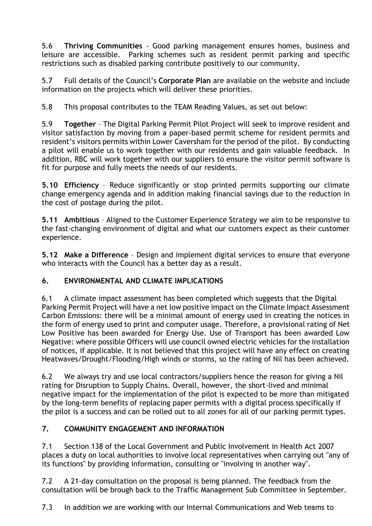5.6 **Thriving Communities** - Good parking management ensures homes, business and leisure are accessible. Parking schemes such as resident permit parking and specific restrictions such as disabled parking contribute positively to our community.

5.7 Full details of the Council's **[Corporate Plan](https://images.reading.gov.uk/2021/03/Reading-Borough-Council-Corporate-Plan.pdf)** are available on the website and include information on the projects which will deliver these priorities.

5.8 This proposal contributes to the TEAM Reading Values, as set out below:

5.9 **Together** – The Digital Parking Permit Pilot Project will seek to improve resident and visitor satisfaction by moving from a paper-based permit scheme for resident permits and resident's visitors permits within Lower Caversham for the period of the pilot. By conducting a pilot will enable us to work together with our residents and gain valuable feedback. In addition, RBC will work together with our suppliers to ensure the visitor permit software is fit for purpose and fully meets the needs of our residents.

**5.10 Efficiency** – Reduce significantly or stop printed permits supporting our climate change emergency agenda and in addition making financial savings due to the reduction in the cost of postage during the pilot.

**5.11 Ambitious** – Aligned to the Customer Experience Strategy we aim to be responsive to the fast-changing environment of digital and what our customers expect as their customer experience.

**5.12 Make a Difference** – Design and implement digital services to ensure that everyone who interacts with the Council has a better day as a result.

# **6. ENVIRONMENTAL AND CLIMATE IMPLICATIONS**

6.1 A climate impact assessment has been completed which suggests that the Digital Parking Permit Project will have a net low positive impact on the Climate Impact Assessment Carbon Emissions: there will be a minimal amount of energy used in creating the notices in the form of energy used to print and computer usage. Therefore, a provisional rating of Net Low Positive has been awarded for Energy Use. Use of Transport has been awarded Low Negative: where possible Officers will use council owned electric vehicles for the installation of notices, if applicable. It is not believed that this project will have any effect on creating Heatwaves/Drought/Flooding/High winds or storms, so the rating of Nil has been achieved.

6.2 We always try and use local contractors/suppliers hence the reason for giving a Nil rating for Disruption to Supply Chains. Overall, however, the short-lived and minimal negative impact for the implementation of the pilot is expected to be more than mitigated by the long-term benefits of replacing paper permits with a digital process specifically if the pilot is a success and can be rolled out to all zones for all of our parking permit types.

## **7. COMMUNITY ENGAGEMENT AND INFORMATION**

7.1 Section 138 of the Local Government and Public Involvement in Health Act 2007 places a duty on local authorities to involve local representatives when carrying out "any of its functions" by providing information, consulting or "involving in another way".

7.2 A 21-day consultation on the proposal is being planned. The feedback from the consultation will be brough back to the Traffic Management Sub Committee in September.

7.3 In addition we are working with our Internal Communications and Web teams to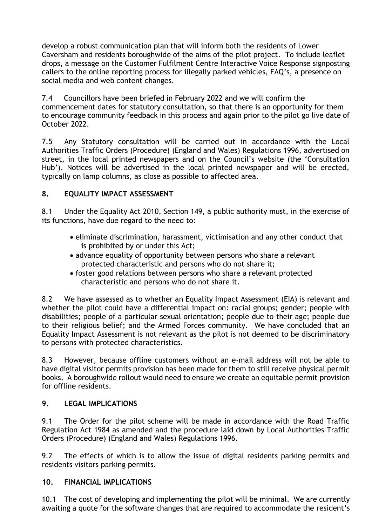develop a robust communication plan that will inform both the residents of Lower Caversham and residents boroughwide of the aims of the pilot project. To include leaflet drops, a message on the Customer Fulfilment Centre Interactive Voice Response signposting callers to the online reporting process for illegally parked vehicles, FAQ's, a presence on social media and web content changes.

7.4 Councillors have been briefed in February 2022 and we will confirm the commencement dates for statutory consultation, so that there is an opportunity for them to encourage community feedback in this process and again prior to the pilot go live date of October 2022.

7.5 Any Statutory consultation will be carried out in accordance with the Local Authorities Traffic Orders (Procedure) (England and Wales) Regulations 1996, advertised on street, in the local printed newspapers and on the Council's website (the 'Consultation Hub'). Notices will be advertised in the local printed newspaper and will be erected, typically on lamp columns, as close as possible to affected area.

# **8. EQUALITY IMPACT ASSESSMENT**

8.1 Under the Equality Act 2010, Section 149, a public authority must, in the exercise of its functions, have due regard to the need to:

- eliminate discrimination, harassment, victimisation and any other conduct that is prohibited by or under this Act;
- advance equality of opportunity between persons who share a relevant protected characteristic and persons who do not share it;
- foster good relations between persons who share a relevant protected characteristic and persons who do not share it.

8.2 We have assessed as to whether an Equality Impact Assessment (EIA) is relevant and whether the pilot could have a differential impact on: racial groups; gender; people with disabilities; people of a particular sexual orientation; people due to their age; people due to their religious belief; and the Armed Forces community. We have concluded that an Equality Impact Assessment is not relevant as the pilot is not deemed to be discriminatory to persons with protected characteristics.

8.3 However, because offline customers without an e-mail address will not be able to have digital visitor permits provision has been made for them to still receive physical permit books. A boroughwide rollout would need to ensure we create an equitable permit provision for offline residents.

## **9. LEGAL IMPLICATIONS**

9.1 The Order for the pilot scheme will be made in accordance with the Road Traffic Regulation Act 1984 as amended and the procedure laid down by Local Authorities Traffic Orders (Procedure) (England and Wales) Regulations 1996.

9.2 The effects of which is to allow the issue of digital residents parking permits and residents visitors parking permits.

## **10. FINANCIAL IMPLICATIONS**

10.1 The cost of developing and implementing the pilot will be minimal. We are currently awaiting a quote for the software changes that are required to accommodate the resident's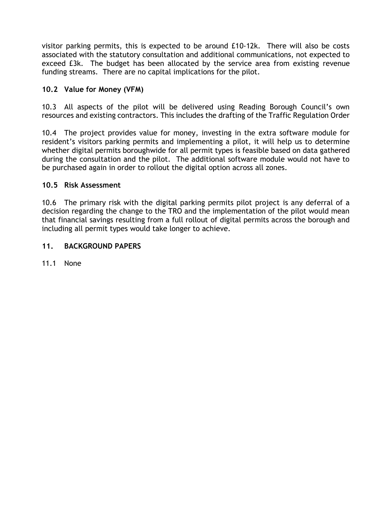visitor parking permits, this is expected to be around £10-12k. There will also be costs associated with the statutory consultation and additional communications, not expected to exceed £3k. The budget has been allocated by the service area from existing revenue funding streams. There are no capital implications for the pilot.

# **10.2 Value for Money (VFM)**

10.3 All aspects of the pilot will be delivered using Reading Borough Council's own resources and existing contractors. This includes the drafting of the Traffic Regulation Order

10.4 The project provides value for money, investing in the extra software module for resident's visitors parking permits and implementing a pilot, it will help us to determine whether digital permits boroughwide for all permit types is feasible based on data gathered during the consultation and the pilot. The additional software module would not have to be purchased again in order to rollout the digital option across all zones.

#### **10.5 Risk Assessment**

10.6 The primary risk with the digital parking permits pilot project is any deferral of a decision regarding the change to the TRO and the implementation of the pilot would mean that financial savings resulting from a full rollout of digital permits across the borough and including all permit types would take longer to achieve.

#### **11. BACKGROUND PAPERS**

11.1 None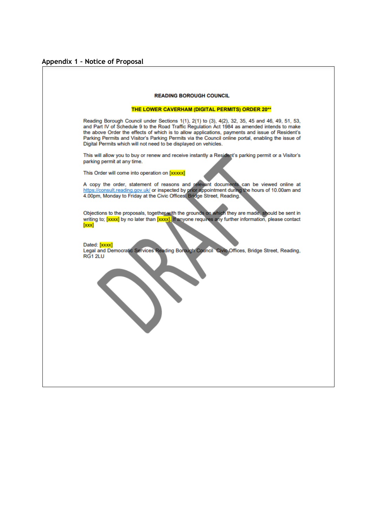# **Appendix 1 – Notice of Proposal**

| <b>READING BOROUGH COUNCIL</b>                                                                                                                                                                                                                                                                                                                                                                                                                                              |
|-----------------------------------------------------------------------------------------------------------------------------------------------------------------------------------------------------------------------------------------------------------------------------------------------------------------------------------------------------------------------------------------------------------------------------------------------------------------------------|
| <b>THE LOWER CAVERHAM (DIGITAL PERMITS) ORDER 20**</b>                                                                                                                                                                                                                                                                                                                                                                                                                      |
| Reading Borough Council under Sections 1(1), 2(1) to (3), 4(2), 32, 35, 45 and 46, 49, 51, 53,<br>and Part IV of Schedule 9 to the Road Traffic Regulation Act 1984 as amended intends to make<br>the above Order the effects of which is to allow applications, payments and issue of Resident's<br>Parking Permits and Visitor's Parking Permits via the Council online portal, enabling the issue of<br>Digital Permits which will not need to be displayed on vehicles. |
| This will allow you to buy or renew and receive instantly a Resident's parking permit or a Visitor's<br>parking permit at any time.<br>This Order will come into operation on [xxxxx]                                                                                                                                                                                                                                                                                       |
| A copy the order, statement of reasons and relevant documents can be viewed online at<br>https://consult.reading.gov.uk/ or inspected by prior appointment during the hours of 10.00am and                                                                                                                                                                                                                                                                                  |
| 4.00pm, Monday to Friday at the Civic Offices, Bridge Street, Reading.<br>Objections to the proposals, together with the grounds on which they are made, should be sent in<br>writing to; [xxxx] by no later than [xxxx]. If anyone requires any further information, please contact<br>[xxx]                                                                                                                                                                               |
| Dated: [xxxx]<br>Legal and Democratic Services Reading Borough Council Civic Offices, Bridge Street, Reading,<br>RG1 2LU                                                                                                                                                                                                                                                                                                                                                    |
|                                                                                                                                                                                                                                                                                                                                                                                                                                                                             |
|                                                                                                                                                                                                                                                                                                                                                                                                                                                                             |
|                                                                                                                                                                                                                                                                                                                                                                                                                                                                             |
|                                                                                                                                                                                                                                                                                                                                                                                                                                                                             |
|                                                                                                                                                                                                                                                                                                                                                                                                                                                                             |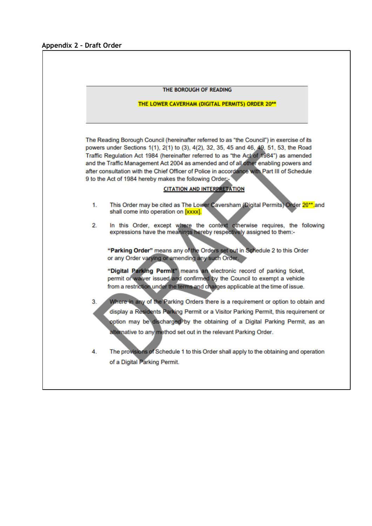|                                                 | THE BOROUGH OF READING                                                                                                                                                              |
|-------------------------------------------------|-------------------------------------------------------------------------------------------------------------------------------------------------------------------------------------|
| THE LOWER CAVERHAM (DIGITAL PERMITS) ORDER 20** |                                                                                                                                                                                     |
|                                                 | The Reading Borough Council (hereinafter referred to as "the Council") in exercise of its<br>powers under Sections 1(1), 2(1) to (3), 4(2), 32, 35, 45 and 46, 49, 51, 53, the Road |
|                                                 | Traffic Regulation Act 1984 (hereinafter referred to as "the Act of 1984") as amended                                                                                               |
|                                                 | and the Traffic Management Act 2004 as amended and of all other enabling powers and                                                                                                 |
|                                                 | after consultation with the Chief Officer of Police in accordance with Part III of Schedule                                                                                         |
|                                                 | 9 to the Act of 1984 hereby makes the following Order:-                                                                                                                             |
|                                                 | <b>CITATION AND INTERPRETATION</b>                                                                                                                                                  |
| 1.                                              | This Order may be cited as The Lower Caversham (Digital Permits) Order 20 <sup>**</sup> .and<br>shall come into operation on [xxxx].                                                |
| 2.                                              | In this Order, except where the context otherwise requires, the following<br>expressions have the meanings hereby respectively assigned to them:-                                   |
|                                                 | "Parking Order" means any of the Orders set out in Schedule 2 to this Order<br>or any Order varying or amending any such Order.                                                     |
|                                                 | "Digital Parking Permit" means an electronic record of parking ticket,                                                                                                              |
|                                                 | permit or waiver issued and confirmed by the Council to exempt a vehicle                                                                                                            |
|                                                 | from a restriction under the terms and charges applicable at the time of issue.                                                                                                     |
| З.                                              | Where in any of the Parking Orders there is a requirement or option to obtain and                                                                                                   |
|                                                 | display a Residents Parking Permit or a Visitor Parking Permit, this requirement or                                                                                                 |
|                                                 | option may be discharged by the obtaining of a Digital Parking Permit, as an                                                                                                        |
|                                                 | alternative to any method set out in the relevant Parking Order.                                                                                                                    |
|                                                 |                                                                                                                                                                                     |
| 4.                                              | The provisions of Schedule 1 to this Order shall apply to the obtaining and operation                                                                                               |
|                                                 |                                                                                                                                                                                     |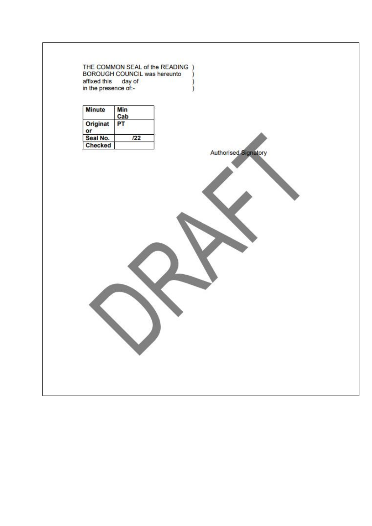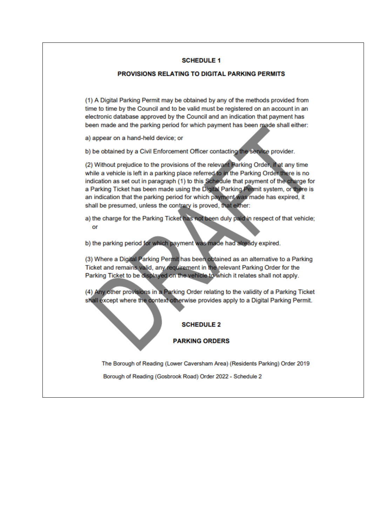#### **SCHEDULE 1**

#### PROVISIONS RELATING TO DIGITAL PARKING PERMITS

(1) A Digital Parking Permit may be obtained by any of the methods provided from time to time by the Council and to be valid must be registered on an account in an electronic database approved by the Council and an indication that payment has been made and the parking period for which payment has been made shall either:

a) appear on a hand-held device; or

b) be obtained by a Civil Enforcement Officer contacting the service provider.

(2) Without prejudice to the provisions of the relevant Parking Order, if at any time while a vehicle is left in a parking place referred to in the Parking Order there is no indication as set out in paragraph (1) to this Schedule that payment of the charge for a Parking Ticket has been made using the Digital Parking Permit system, or there is an indication that the parking period for which payment was made has expired, it shall be presumed, unless the contrary is proved, that either:

a) the charge for the Parking Ticket has not been duly paid in respect of that vehicle; or

b) the parking period for which payment was made had already expired.

(3) Where a Digital Parking Permit has been obtained as an alternative to a Parking Ticket and remains valid, any requirement in the relevant Parking Order for the Parking Ticket to be displayed on the vehicle to which it relates shall not apply.

(4) Any other provisions in a Parking Order relating to the validity of a Parking Ticket shall except where the context otherwise provides apply to a Digital Parking Permit.

#### **SCHEDULE 2**

#### **PARKING ORDERS**

The Borough of Reading (Lower Caversham Area) (Residents Parking) Order 2019

Borough of Reading (Gosbrook Road) Order 2022 - Schedule 2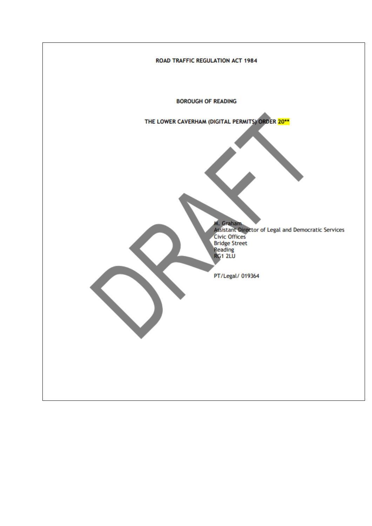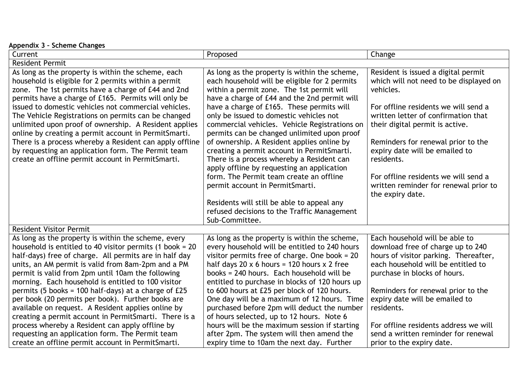| Appendix 3 - Scheme Changes                                                                                                                                                                                                                                                                                                                  |                                                                                                                                                                                                                                                                                               |                                                                                                                                                                                    |
|----------------------------------------------------------------------------------------------------------------------------------------------------------------------------------------------------------------------------------------------------------------------------------------------------------------------------------------------|-----------------------------------------------------------------------------------------------------------------------------------------------------------------------------------------------------------------------------------------------------------------------------------------------|------------------------------------------------------------------------------------------------------------------------------------------------------------------------------------|
| Current                                                                                                                                                                                                                                                                                                                                      | Proposed                                                                                                                                                                                                                                                                                      | Change                                                                                                                                                                             |
| <b>Resident Permit</b>                                                                                                                                                                                                                                                                                                                       |                                                                                                                                                                                                                                                                                               |                                                                                                                                                                                    |
| As long as the property is within the scheme, each<br>household is eligible for 2 permits within a permit<br>zone. The 1st permits have a charge of £44 and 2nd<br>permits have a charge of £165. Permits will only be                                                                                                                       | As long as the property is within the scheme,<br>each household will be eligible for 2 permits<br>within a permit zone. The 1st permit will<br>have a charge of £44 and the 2nd permit will                                                                                                   | Resident is issued a digital permit<br>which will not need to be displayed on<br>vehicles.                                                                                         |
| issued to domestic vehicles not commercial vehicles.<br>The Vehicle Registrations on permits can be changed<br>unlimited upon proof of ownership. A Resident applies<br>online by creating a permit account in PermitSmarti.                                                                                                                 | have a charge of £165. These permits will<br>only be issued to domestic vehicles not<br>commercial vehicles. Vehicle Registrations on<br>permits can be changed unlimited upon proof                                                                                                          | For offline residents we will send a<br>written letter of confirmation that<br>their digital permit is active.                                                                     |
| There is a process whereby a Resident can apply offline<br>by requesting an application form. The Permit team<br>create an offline permit account in PermitSmarti.                                                                                                                                                                           | of ownership. A Resident applies online by<br>creating a permit account in PermitSmarti.<br>There is a process whereby a Resident can<br>apply offline by requesting an application                                                                                                           | Reminders for renewal prior to the<br>expiry date will be emailed to<br>residents.                                                                                                 |
|                                                                                                                                                                                                                                                                                                                                              | form. The Permit team create an offline<br>permit account in PermitSmarti.                                                                                                                                                                                                                    | For offline residents we will send a<br>written reminder for renewal prior to<br>the expiry date.                                                                                  |
|                                                                                                                                                                                                                                                                                                                                              | Residents will still be able to appeal any<br>refused decisions to the Traffic Management<br>Sub-Committee.                                                                                                                                                                                   |                                                                                                                                                                                    |
| <b>Resident Visitor Permit</b>                                                                                                                                                                                                                                                                                                               |                                                                                                                                                                                                                                                                                               |                                                                                                                                                                                    |
| As long as the property is within the scheme, every<br>household is entitled to 40 visitor permits $(1$ book = 20<br>half-days) free of charge. All permits are in half day<br>units, an AM permit is valid from 8am-2pm and a PM<br>permit is valid from 2pm until 10am the following<br>morning. Each household is entitled to 100 visitor | As long as the property is within the scheme,<br>every household will be entitled to 240 hours<br>visitor permits free of charge. One book = 20<br>half days 20 x 6 hours = 120 hours x 2 free<br>books = 240 hours. Each household will be<br>entitled to purchase in blocks of 120 hours up | Each household will be able to<br>download free of charge up to 240<br>hours of visitor parking. Thereafter,<br>each household will be entitled to<br>purchase in blocks of hours. |
| permits (5 books = 100 half-days) at a charge of £25<br>per book (20 permits per book). Further books are<br>available on request. A Resident applies online by<br>creating a permit account in PermitSmarti. There is a<br>process whereby a Resident can apply offline by                                                                  | to 600 hours at £25 per block of 120 hours.<br>One day will be a maximum of 12 hours. Time<br>purchased before 2pm will deduct the number<br>of hours selected, up to 12 hours. Note 6<br>hours will be the maximum session if starting                                                       | Reminders for renewal prior to the<br>expiry date will be emailed to<br>residents.<br>For offline residents address we will                                                        |
| requesting an application form. The Permit team<br>create an offline permit account in PermitSmarti.                                                                                                                                                                                                                                         | after 2pm. The system will then amend the<br>expiry time to 10am the next day. Further                                                                                                                                                                                                        | send a written reminder for renewal<br>prior to the expiry date.                                                                                                                   |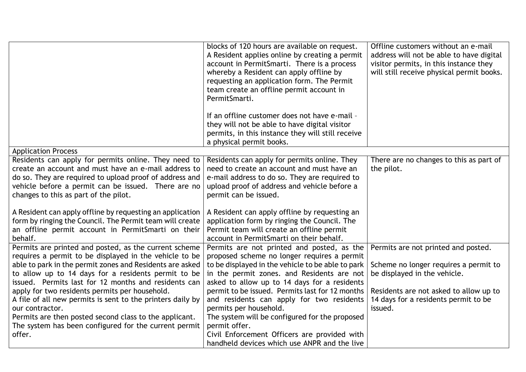|                                                                                                                                                                                                                                                                                                                                                                                                                                                                                                                                                            | blocks of 120 hours are available on request.<br>A Resident applies online by creating a permit<br>account in PermitSmarti. There is a process<br>whereby a Resident can apply offline by<br>requesting an application form. The Permit<br>team create an offline permit account in<br>PermitSmarti.<br>If an offline customer does not have e-mail -<br>they will not be able to have digital visitor<br>permits, in this instance they will still receive<br>a physical permit books.                                                   | Offline customers without an e-mail<br>address will not be able to have digital<br>visitor permits, in this instance they<br>will still receive physical permit books.                                    |
|------------------------------------------------------------------------------------------------------------------------------------------------------------------------------------------------------------------------------------------------------------------------------------------------------------------------------------------------------------------------------------------------------------------------------------------------------------------------------------------------------------------------------------------------------------|-------------------------------------------------------------------------------------------------------------------------------------------------------------------------------------------------------------------------------------------------------------------------------------------------------------------------------------------------------------------------------------------------------------------------------------------------------------------------------------------------------------------------------------------|-----------------------------------------------------------------------------------------------------------------------------------------------------------------------------------------------------------|
| <b>Application Process</b>                                                                                                                                                                                                                                                                                                                                                                                                                                                                                                                                 |                                                                                                                                                                                                                                                                                                                                                                                                                                                                                                                                           |                                                                                                                                                                                                           |
| Residents can apply for permits online. They need to<br>create an account and must have an e-mail address to<br>do so. They are required to upload proof of address and<br>vehicle before a permit can be issued. There are no<br>changes to this as part of the pilot.                                                                                                                                                                                                                                                                                    | Residents can apply for permits online. They<br>need to create an account and must have an<br>e-mail address to do so. They are required to<br>upload proof of address and vehicle before a<br>permit can be issued.                                                                                                                                                                                                                                                                                                                      | There are no changes to this as part of<br>the pilot.                                                                                                                                                     |
| A Resident can apply offline by requesting an application<br>form by ringing the Council. The Permit team will create<br>an offline permit account in PermitSmarti on their<br>behalf.                                                                                                                                                                                                                                                                                                                                                                     | A Resident can apply offline by requesting an<br>application form by ringing the Council. The<br>Permit team will create an offline permit<br>account in PermitSmarti on their behalf.                                                                                                                                                                                                                                                                                                                                                    |                                                                                                                                                                                                           |
| Permits are printed and posted, as the current scheme<br>requires a permit to be displayed in the vehicle to be<br>able to park in the permit zones and Residents are asked<br>to allow up to 14 days for a residents permit to be<br>issued. Permits last for 12 months and residents can<br>apply for two residents permits per household.<br>A file of all new permits is sent to the printers daily by<br>our contractor.<br>Permits are then posted second class to the applicant.<br>The system has been configured for the current permit<br>offer. | Permits are not printed and posted, as the<br>proposed scheme no longer requires a permit<br>to be displayed in the vehicle to be able to park<br>in the permit zones. and Residents are not<br>asked to allow up to 14 days for a residents<br>permit to be issued. Permits last for 12 months<br>and residents can apply for two residents<br>permits per household.<br>The system will be configured for the proposed<br>permit offer.<br>Civil Enforcement Officers are provided with<br>handheld devices which use ANPR and the live | Permits are not printed and posted.<br>Scheme no longer requires a permit to<br>be displayed in the vehicle.<br>Residents are not asked to allow up to<br>14 days for a residents permit to be<br>issued. |